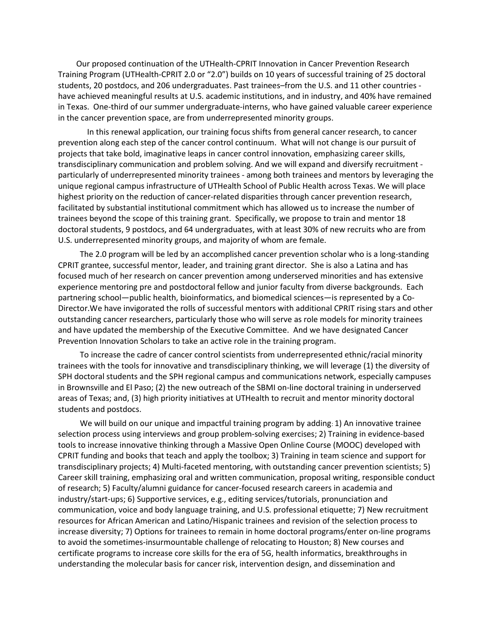Our proposed continuation of the UTHealth-CPRIT Innovation in Cancer Prevention Research Training Program (UTHealth-CPRIT 2.0 or "2.0") builds on 10 years of successful training of 25 doctoral students, 20 postdocs, and 206 undergraduates. Past trainees–from the U.S. and 11 other countries have achieved meaningful results at U.S. academic institutions, and in industry, and 40% have remained in Texas. One-third of our summer undergraduate-interns, who have gained valuable career experience in the cancer prevention space, are from underrepresented minority groups.

 In this renewal application, our training focus shifts from general cancer research, to cancer prevention along each step of the cancer control continuum. What will not change is our pursuit of projects that take bold, imaginative leaps in cancer control innovation, emphasizing career skills, transdisciplinary communication and problem solving. And we will expand and diversify recruitment particularly of underrepresented minority trainees - among both trainees and mentors by leveraging the unique regional campus infrastructure of UTHealth School of Public Health across Texas. We will place highest priority on the reduction of cancer-related disparities through cancer prevention research, facilitated by substantial institutional commitment which has allowed us to increase the number of trainees beyond the scope of this training grant. Specifically, we propose to train and mentor 18 doctoral students, 9 postdocs, and 64 undergraduates, with at least 30% of new recruits who are from U.S. underrepresented minority groups, and majority of whom are female.

The 2.0 program will be led by an accomplished cancer prevention scholar who is a long-standing CPRIT grantee, successful mentor, leader, and training grant director. She is also a Latina and has focused much of her research on cancer prevention among underserved minorities and has extensive experience mentoring pre and postdoctoral fellow and junior faculty from diverse backgrounds. Each partnering school—public health, bioinformatics, and biomedical sciences—is represented by a Co-Director.We have invigorated the rolls of successful mentors with additional CPRIT rising stars and other outstanding cancer researchers, particularly those who will serve as role models for minority trainees and have updated the membership of the Executive Committee. And we have designated Cancer Prevention Innovation Scholars to take an active role in the training program.

To increase the cadre of cancer control scientists from underrepresented ethnic/racial minority trainees with the tools for innovative and transdisciplinary thinking, we will leverage (1) the diversity of SPH doctoral students and the SPH regional campus and communications network, especially campuses in Brownsville and El Paso; (2) the new outreach of the SBMI on-line doctoral training in underserved areas of Texas; and, (3) high priority initiatives at UTHealth to recruit and mentor minority doctoral students and postdocs.

We will build on our unique and impactful training program by adding: 1) An innovative trainee selection process using interviews and group problem-solving exercises; 2) Training in evidence-based tools to increase innovative thinking through a Massive Open Online Course (MOOC) developed with CPRIT funding and books that teach and apply the toolbox; 3) Training in team science and support for transdisciplinary projects; 4) Multi-faceted mentoring, with outstanding cancer prevention scientists; 5) Career skill training, emphasizing oral and written communication, proposal writing, responsible conduct of research; 5) Faculty/alumni guidance for cancer-focused research careers in academia and industry/start-ups; 6) Supportive services, e.g., editing services/tutorials, pronunciation and communication, voice and body language training, and U.S. professional etiquette; 7) New recruitment resources for African American and Latino/Hispanic trainees and revision of the selection process to increase diversity; 7) Options for trainees to remain in home doctoral programs/enter on-line programs to avoid the sometimes-insurmountable challenge of relocating to Houston; 8) New courses and certificate programs to increase core skills for the era of 5G, health informatics, breakthroughs in understanding the molecular basis for cancer risk, intervention design, and dissemination and